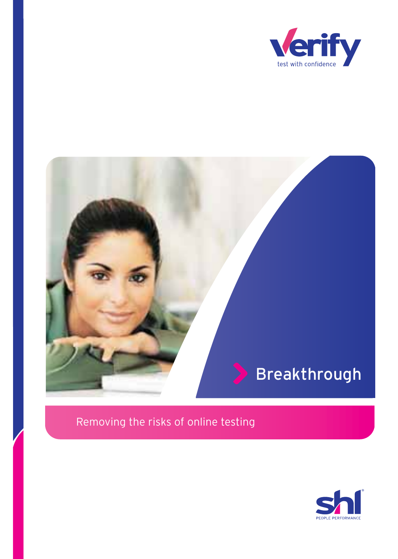

# Breakthrough

# Removing the risks of online testing

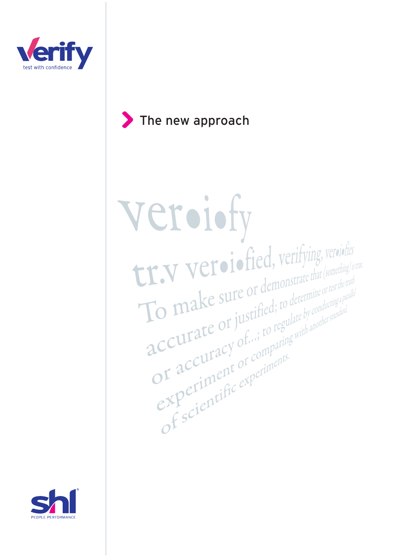

# The new approach

veroiofy Le suite du demonstrate that (something) is **The Marine of Sure of Second Control of the Control of the Content of the Content of the Content of the Content of the Content of the Content of the Content of the Content of the Content of the Content of the Content of t** References of demonstrate that (something) is the<br>To make sure or demonstrate that (something) is the<br>accurate or justified; to determine or test the truth<br>accuracy of ...; to regulate by conducting a paralate L.V. View demonstrate that comment of the muth of the transformation of the transformation of the transformation of the comparing with an other standard and  $\mathbf{acc}$  accuracy of  $\ldots$ ; to regulate by conducting a parallel To make sure or determine or treatment CCULTACY OF COMPANY

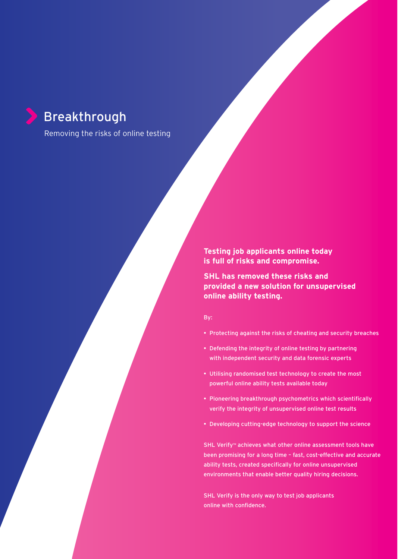# Breakthrough

Removing the risks of online testing

**Testing job applicants online today is full of risks and compromise.**

**SHL has removed these risks and provided a new solution for unsupervised online ability testing.**

By:

- Protecting against the risks of cheating and security breaches
- Defending the integrity of online testing by partnering with independent security and data forensic experts
- Utilising randomised test technology to create the most powerful online ability tests available today
- Pioneering breakthrough psychometrics which scientifically verify the integrity of unsupervised online test results
- Developing cutting-edge technology to support the science

SHL Verify™ achieves what other online assessment tools have been promising for a long time – fast, cost-effective and accurate ability tests, created specifically for online unsupervised environments that enable better quality hiring decisions.

SHL Verify is the only way to test job applicants online with confidence.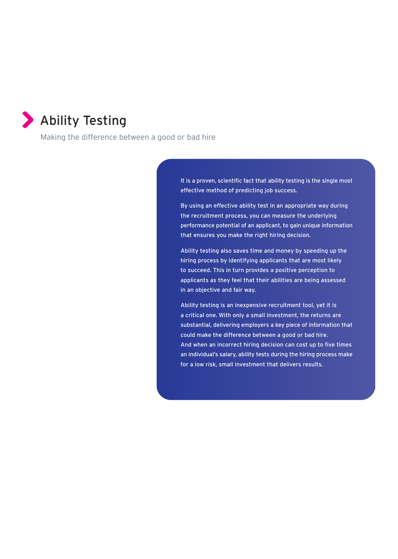

Making the difference between a good or bad hire

It is a proven, scientific fact that ability testing is the single most effective method of predicting job success.

By using an effective ability test in an appropriate way during the recruitment process, you can measure the underlying performance potential of an applicant, to gain unique information that ensures you make the right hiring decision.

Ability testing also saves time and money by speeding up the hiring process by identifying applicants that are most likely to succeed. This in turn provides a positive perception to applicants as they feel that their abilities are being assessed in an objective and fair way.

Ability testing is an inexpensive recruitment tool, yet it is a critical one. With only a small investment, the returns are substantial, delivering employers a key piece of information that could make the difference between a good or bad hire. And when an incorrect hiring decision can cost up to five times an individual's salary, ability tests during the hiring process make for a low risk, small investment that delivers results.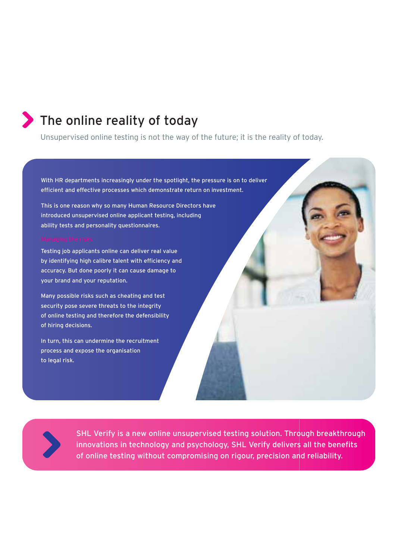# The online reality of today

Unsupervised online testing is not the way of the future; it is the reality of today.

With HR departments increasingly under the spotlight, the pressure is on to deliver efficient and effective processes which demonstrate return on investment.

This is one reason why so many Human Resource Directors have introduced unsupervised online applicant testing, including ability tests and personality questionnaires.

Testing job applicants online can deliver real value by identifying high calibre talent with efficiency and accuracy. But done poorly it can cause damage to your brand and your reputation.

Many possible risks such as cheating and test security pose severe threats to the integrity of online testing and therefore the defensibility of hiring decisions.

In turn, this can undermine the recruitment process and expose the organisation to legal risk.



SHL Verify is a new online unsupervised testing solution. Through breakthrough innovations in technology and psychology, SHL Verify delivers all the benefits of online testing without compromising on rigour, precision and reliability.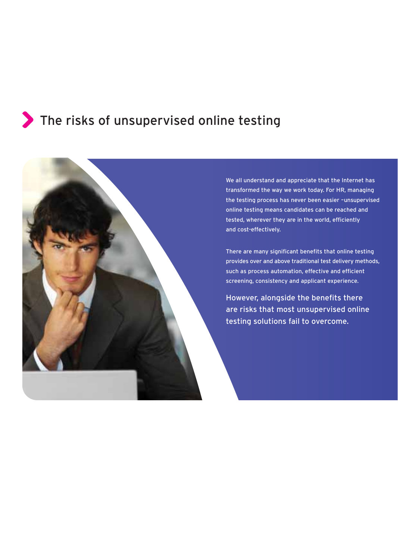# The risks of unsupervised online testing



We all understand and appreciate that the Internet has transformed the way we work today. For HR, managing the testing process has never been easier –unsupervised online testing means candidates can be reached and tested, wherever they are in the world, efficiently and cost-effectively.

There are many significant benefits that online testing provides over and above traditional test delivery methods, such as process automation, effective and efficient screening, consistency and applicant experience.

However, alongside the benefits there are risks that most unsupervised online testing solutions fail to overcome.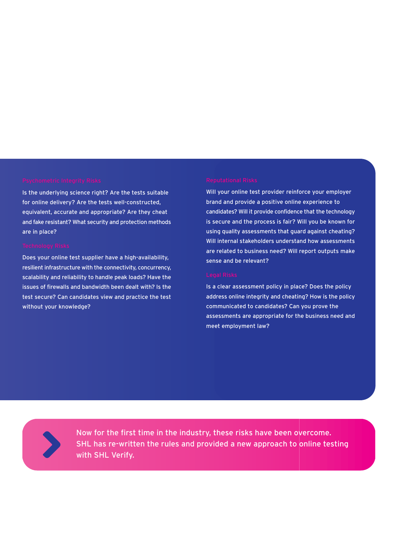Is the underlying science right? Are the tests suitable for online delivery? Are the tests well-constructed, equivalent, accurate and appropriate? Are they cheat and fake resistant? What security and protection methods are in place?

Does your online test supplier have a high-availability, resilient infrastructure with the connectivity, concurrency, scalability and reliability to handle peak loads? Have the issues of firewalls and bandwidth been dealt with? Is the test secure? Can candidates view and practice the test without your knowledge?

Will your online test provider reinforce your employer brand and provide a positive online experience to candidates? Will it provide confidence that the technology is secure and the process is fair? Will you be known for using quality assessments that guard against cheating? Will internal stakeholders understand how assessments are related to business need? Will report outputs make sense and be relevant?

Is a clear assessment policy in place? Does the policy address online integrity and cheating? How is the policy communicated to candidates? Can you prove the assessments are appropriate for the business need and meet employment law?

Now for the first time in the industry, these risks have been overcome. SHL has re-written the rules and provided a new approach to online testing with SHL Verify.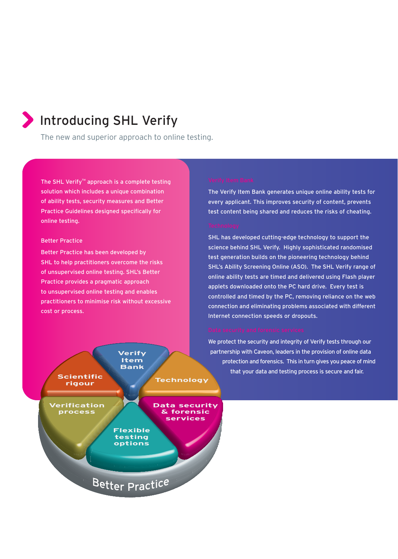# Introducing SHL Verify

The new and superior approach to online testing.

The SHL Verify<sup>™</sup> approach is a complete testing solution which includes a unique combination of ability tests, security measures and Better Practice Guidelines designed specifically for online testing.

# Better Practice

Better Practice has been developed by SHL to help practitioners overcome the risks of unsupervised online testing. SHL's Better Practice provides a pragmatic approach to unsupervised online testing and enables practitioners to minimise risk without excessive cost or process.



The Verify Item Bank generates unique online ability tests for every applicant. This improves security of content, prevents test content being shared and reduces the risks of cheating.

SHL has developed cutting-edge technology to support the science behind SHL Verify. Highly sophisticated randomised test generation builds on the pioneering technology behind SHL's Ability Screening Online (ASO). The SHL Verify range of online ability tests are timed and delivered using Flash player applets downloaded onto the PC hard drive. Every test is controlled and timed by the PC, removing reliance on the web connection and eliminating problems associated with different Internet connection speeds or dropouts.

We protect the security and integrity of Verify tests through our partnership with Caveon, leaders in the provision of online data protection and forensics. This in turn gives you peace of mind that your data and testing process is secure and fair.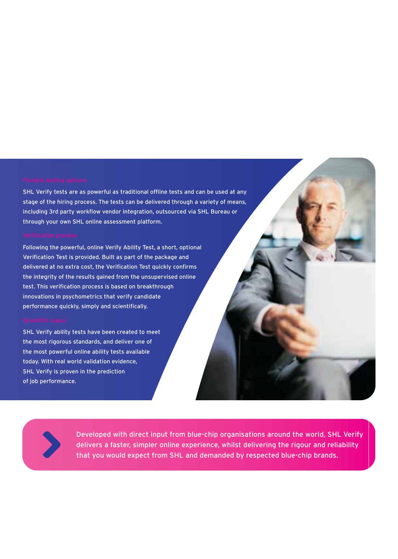SHL Verify tests are as powerful as traditional offline tests and can be used at any stage of the hiring process. The tests can be delivered through a variety of means, including 3rd party workflow vendor integration, outsourced via SHL Bureau or through your own SHL online assessment platform.

Following the powerful, online Verify Ability Test, a short, optional Verification Test is provided. Built as part of the package and delivered at no extra cost, the Verification Test quickly confirms the integrity of the results gained from the unsupervised online test. This verification process is based on breakthrough innovations in psychometrics that verify candidate performance quickly, simply and scientifically.

SHL Verify ability tests have been created to meet the most rigorous standards, and deliver one of the most powerful online ability tests available today. With real world validation evidence, SHL Verify is proven in the prediction of job performance.

Developed with direct input from blue-chip organisations around the world, SHL Verify delivers a faster, simpler online experience, whilst delivering the rigour and reliability that you would expect from SHL and demanded by respected blue-chip brands.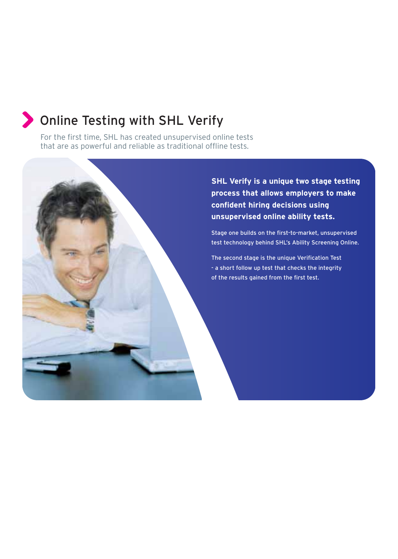# Online Testing with SHL Verify

For the first time, SHL has created unsupervised online tests that are as powerful and reliable as traditional offline tests.

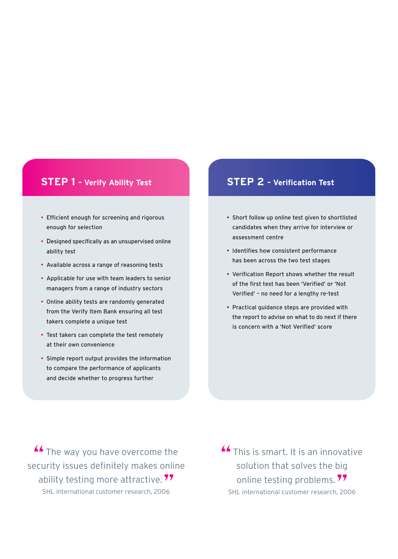# **STEP 1 – Verify Ability Test**

- Efficient enough for screening and rigorous enough for selection
- Designed specifically as an unsupervised online ability test
- Available across a range of reasoning tests
- Applicable for use with team leaders to senior managers from a range of industry sectors
- Online ability tests are randomly generated from the Verify Item Bank ensuring all test takers complete a unique test
- Test takers can complete the test remotely at their own convenience
- Simple report output provides the information to compare the performance of applicants and decide whether to progress further

# **STEP 2 – Verification Test**

- Short follow up online test given to shortlisted candidates when they arrive for interview or assessment centre
- Identifies how consistent performance has been across the two test stages
- Verification Report shows whether the result of the first test has been 'Verified' or 'Not Verified' – no need for a lengthy re-test
- Practical guidance steps are provided with the report to advise on what to do next if there is concern with a 'Not Verified' score

**A** The way you have overcome the security issues definitely makes online ability testing more attractive.<sup>77</sup> SHL international customer research, 2006

**A** This is smart. It is an innovative solution that solves the big online testing problems.<sup>77</sup> SHL international customer research, 2006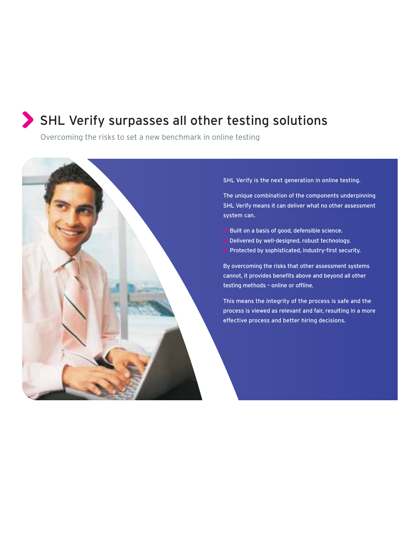# SHL Verify surpasses all other testing solutions

Overcoming the risks to set a new benchmark in online testing



# SHL Verify is the next generation in online testing.

The unique combination of the components underpinning SHL Verify means it can deliver what no other assessment system can.

- $\vee$  Built on a basis of good, defensible science.
- $\vee$  Delivered by well-designed, robust technology.
- $\vee$  Protected by sophisticated, industry-first security.

By overcoming the risks that other assessment systems cannot, it provides benefits above and beyond all other testing methods – online or offline.

This means the integrity of the process is safe and the process is viewed as relevant and fair, resulting in a more effective process and better hiring decisions.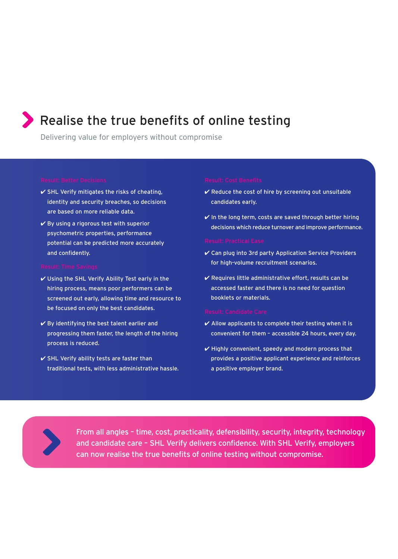# Realise the true benefits of online testing

Delivering value for employers without compromise

- $\checkmark$  SHL Verify mitigates the risks of cheating, identity and security breaches, so decisions are based on more reliable data.
- $\vee$  By using a rigorous test with superior psychometric properties, performance potential can be predicted more accurately and confidently.

- Using the SHL Verify Ability Test early in the hiring process, means poor performers can be screened out early, allowing time and resource to be focused on only the best candidates.
- $\vee$  By identifying the best talent earlier and progressing them faster, the length of the hiring process is reduced.
- $\checkmark$  SHL Verify ability tests are faster than traditional tests, with less administrative hassle.

- $\vee$  Reduce the cost of hire by screening out unsuitable candidates early.
- $\vee$  In the long term, costs are saved through better hiring decisions which reduce turnover and improve performance.

- Can plug into 3rd party Application Service Providers for high-volume recruitment scenarios.
- $\vee$  Requires little administrative effort, results can be accessed faster and there is no need for question booklets or materials.

- $\vee$  Allow applicants to complete their testing when it is convenient for them – accessible 24 hours, every day.
- $\checkmark$  Highly convenient, speedy and modern process that provides a positive applicant experience and reinforces a positive employer brand.



From all angles – time, cost, practicality, defensibility, security, integrity, technology and candidate care – SHL Verify delivers confidence. With SHL Verify, employers can now realise the true benefits of online testing without compromise.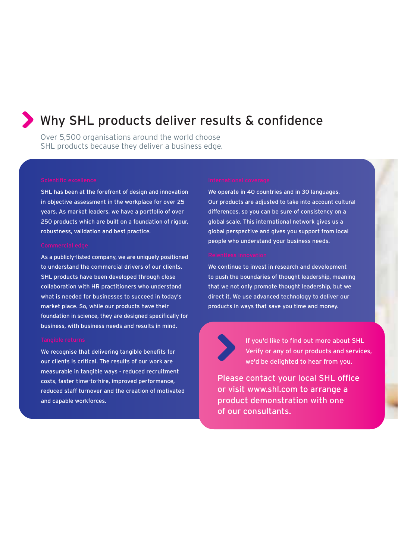# Why SHL products deliver results & confidence

Over 5,500 organisations around the world choose SHL products because they deliver a business edge.

SHL has been at the forefront of design and innovation in objective assessment in the workplace for over 25 years. As market leaders, we have a portfolio of over 250 products which are built on a foundation of rigour, robustness, validation and best practice.

As a publicly-listed company, we are uniquely positioned to understand the commercial drivers of our clients. SHL products have been developed through close collaboration with HR practitioners who understand what is needed for businesses to succeed in today's market place. So, while our products have their foundation in science, they are designed specifically for business, with business needs and results in mind.

We recognise that delivering tangible benefits for our clients is critical. The results of our work are measurable in tangible ways - reduced recruitment costs, faster time-to-hire, improved performance, reduced staff turnover and the creation of motivated and capable workforces.

We operate in 40 countries and in 30 languages. Our products are adjusted to take into account cultural differences, so you can be sure of consistency on a global scale. This international network gives us a global perspective and gives you support from local people who understand your business needs.

We continue to invest in research and development to push the boundaries of thought leadership, meaning that we not only promote thought leadership, but we direct it. We use advanced technology to deliver our products in ways that save you time and money.



If you'd like to find out more about SHL Verify or any of our products and services, we'd be delighted to hear from you.

Please contact your local SHL office or visit www.shl.com to arrange a product demonstration with one of our consultants.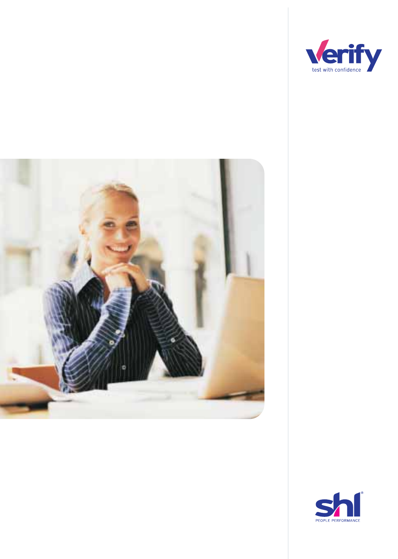